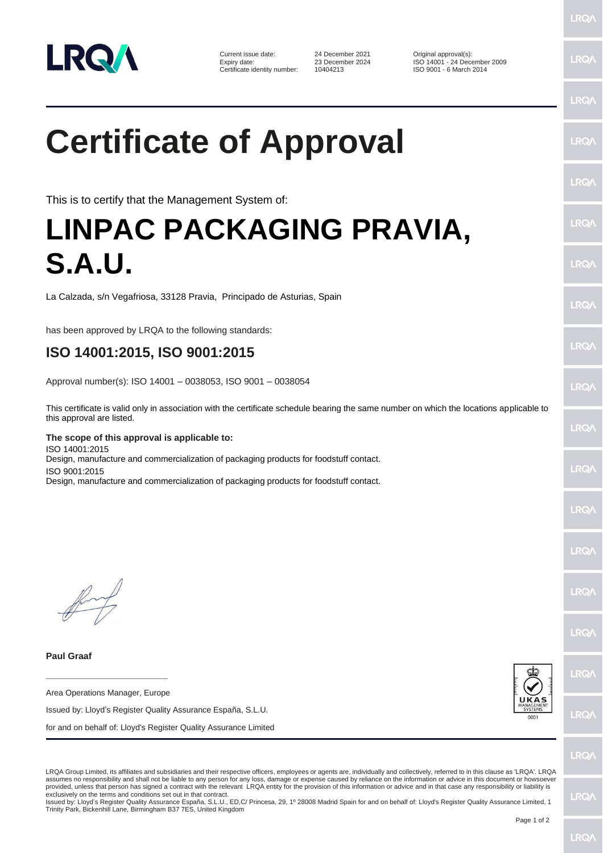

Current issue date: 24 December 2021 Original approval(s):<br>
Expiry date: 23 December 2024 ISO 14001 - 24 Dec Certificate identity number:

23 December 2024 ISO 14001 - 24 December 2009<br>10404213 ISO 9001 - 6 March 2014

**LRQ/** 

## $PQ$ **Certificate of Approval LRO/** LRQ/ This is to certify that the Management System of: **LINPAC PACKAGING PRAVIA,**  LRQ/ **S.A.U. LRQ/** La Calzada, s/n Vegafriosa, 33128 Pravia, Principado de Asturias, Spain  $PQ$ has been approved by LRQA to the following standards: LRQ/ **ISO 14001:2015, ISO 9001:2015** Approval number(s): ISO 14001 – 0038053, ISO 9001 – 0038054 LRQ/ This certificate is valid only in association with the certificate schedule bearing the same number on which the locations applicable to this approval are listed. LRQ/ **The scope of this approval is applicable to:** ISO 14001:2015 Design, manufacture and commercialization of packaging products for foodstuff contact. LRQ/ ISO 9001:2015 Design, manufacture and commercialization of packaging products for foodstuff contact.**IRQ/** LRQ/ LRQ/ LRQ/ **Paul Graaf** LRQ/ **\_\_\_\_\_\_\_\_\_\_\_\_\_\_\_\_\_\_\_\_\_\_\_\_** Area Operations Manager, Europe Issued by: Lloyd's Register Quality Assurance España, S.L.U. **LRQ/** for and on behalf of: Lloyd's Register Quality Assurance Limited LRQ/ LRQA Group Limited, its affiliates and subsidiaries and their respective officers, employees or agents are, individually and collectively, referred to in this clause as 'LRQA'. LRQA

assumes no responsibility and shall not be liable to any person for any loss, damage or expense caused by reliance on the information or advice in this document or howsoever provided, unless that person has signed a contract with the relevant LRQA entity for the provision of this information or advice and in that case any responsibility or liability is exclusively on the terms and conditions set out in that contract.

Issued by: Lloyd's Register Quality Assurance España, S.L.U., ED,C/ Princesa, 29, 1º 28008 Madrid Spain for and on behalf of: Lloyd's Register Quality Assurance Limited, 1 Trinity Park, Bickenhill Lane, Birmingham B37 7ES, United Kingdom

**LRQ/**